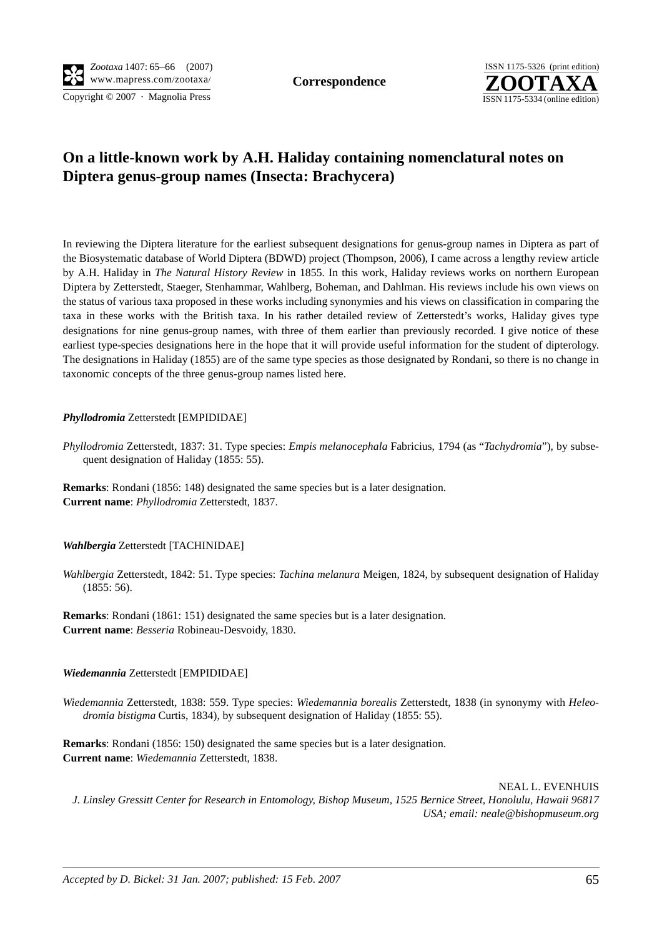Copyright © 2007 · Magnolia Press ISSN 1175-5334 (online edition)



# **On a little-known work by A.H. Haliday containing nomenclatural notes on Diptera genus-group names (Insecta: Brachycera)**

In reviewing the Diptera literature for the earliest subsequent designations for genus-group names in Diptera as part of the Biosystematic database of World Diptera (BDWD) project (Thompson, 2006), I came across a lengthy review article by A.H. Haliday in *The Natural History Review* in 1855. In this work, Haliday reviews works on northern European Diptera by Zetterstedt, Staeger, Stenhammar, Wahlberg, Boheman, and Dahlman. His reviews include his own views on the status of various taxa proposed in these works including synonymies and his views on classification in comparing the taxa in these works with the British taxa. In his rather detailed review of Zetterstedt's works, Haliday gives type designations for nine genus-group names, with three of them earlier than previously recorded. I give notice of these earliest type-species designations here in the hope that it will provide useful information for the student of dipterology. The designations in Haliday (1855) are of the same type species as those designated by Rondani, so there is no change in taxonomic concepts of the three genus-group names listed here.

## *Phyllodromia* Zetterstedt [EMPIDIDAE]

*Phyllodromia* Zetterstedt, 1837: 31. Type species: *Empis melanocephala* Fabricius, 1794 (as "*Tachydromia*"), by subsequent designation of Haliday (1855: 55).

**Remarks**: Rondani (1856: 148) designated the same species but is a later designation. **Current name**: *Phyllodromia* Zetterstedt, 1837.

### *Wahlbergia* Zetterstedt [TACHINIDAE]

*Wahlbergia* Zetterstedt, 1842: 51. Type species: *Tachina melanura* Meigen, 1824, by subsequent designation of Haliday (1855: 56).

**Remarks**: Rondani (1861: 151) designated the same species but is a later designation. **Current name**: *Besseria* Robineau-Desvoidy, 1830.

### *Wiedemannia* Zetterstedt [EMPIDIDAE]

*Wiedemannia* Zetterstedt, 1838: 559. Type species: *Wiedemannia borealis* Zetterstedt, 1838 (in synonymy with *Heleodromia bistigma* Curtis, 1834), by subsequent designation of Haliday (1855: 55).

**Remarks**: Rondani (1856: 150) designated the same species but is a later designation. **Current name**: *Wiedemannia* Zetterstedt, 1838.

NEAL L. EVENHUIS *J. Linsley Gressitt Center for Research in Entomology, Bishop Museum, 1525 Bernice Street, Honolulu, Hawaii 96817 USA; email: neale@bishopmuseum.org*